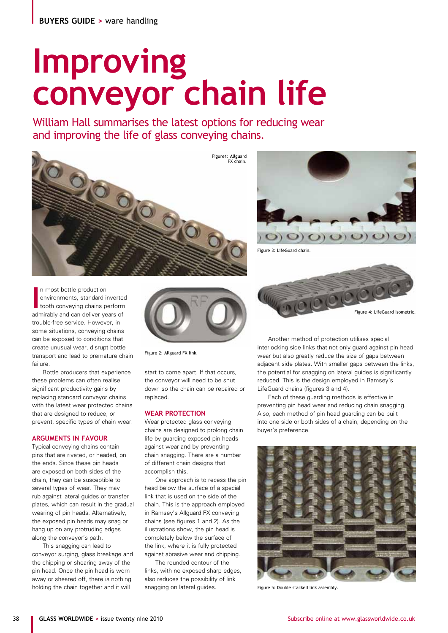# **Improving conveyor chain life**

William Hall summarises the latest options for reducing wear and improving the life of glass conveying chains.





Figure 3: LifeGuard chain.

In most bottle production<br> **I** environments, standard in<br>
tooth conveying chains production environments, standard inverted tooth conveying chains perform admirably and can deliver years of trouble-free service. However, in some situations, conveying chains can be exposed to conditions that create unusual wear, disrupt bottle transport and lead to premature chain failure.

Bottle producers that experience these problems can often realise significant productivity gains by replacing standard conveyor chains with the latest wear protected chains that are designed to reduce, or prevent, specific types of chain wear.

# **ARGUMENTS IN FAVOUR**

Typical conveying chains contain pins that are riveted, or headed, on the ends. Since these pin heads are exposed on both sides of the chain, they can be susceptible to several types of wear. They may rub against lateral guides or transfer plates, which can result in the gradual wearing of pin heads. Alternatively, the exposed pin heads may snag or hang up on any protruding edges along the conveyor's path.

This snagging can lead to conveyor surging, glass breakage and the chipping or shearing away of the pin head. Once the pin head is worn away or sheared off, there is nothing holding the chain together and it will



Figure 2: Allguard FX link.

start to come apart. If that occurs, the conveyor will need to be shut down so the chain can be repaired or replaced.

### **WEAR PROTECTION**

Wear protected glass conveying chains are designed to prolong chain life by guarding exposed pin heads against wear and by preventing chain snagging. There are a number of different chain designs that accomplish this.

One approach is to recess the pin head below the surface of a special link that is used on the side of the chain. This is the approach employed in Ramsey's Allguard FX conveying chains (see figures 1 and 2). As the illustrations show, the pin head is completely below the surface of the link, where it is fully protected against abrasive wear and chipping.

The rounded contour of the links, with no exposed sharp edges, also reduces the possibility of link snagging on lateral guides.



 $F_1 \odot C$   $C$   $C$   $C$   $C$   $C$ 

Each of these guarding methods is effective in preventing pin head wear and reducing chain snagging. Also, each method of pin head guarding can be built into one side or both sides of a chain, depending on the buyer's preference.



Figure 5: Double stacked link assembly.